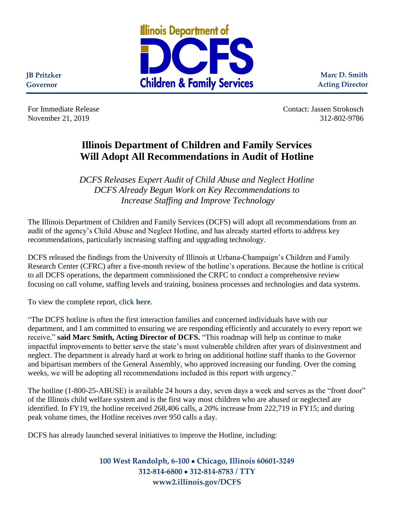

**Marc D. Smith Acting Director**

**JB Pritzker Governor**

For Immediate Release Contact: Jassen Strokosch November 21, 2019 312-802-9786

## **Illinois Department of Children and Family Services Will Adopt All Recommendations in Audit of Hotline**

*DCFS Releases Expert Audit of Child Abuse and Neglect Hotline DCFS Already Begun Work on Key Recommendations to Increase Staffing and Improve Technology* 

The Illinois Department of Children and Family Services (DCFS) will adopt all recommendations from an audit of the agency's Child Abuse and Neglect Hotline, and has already started efforts to address key recommendations, particularly increasing staffing and upgrading technology.

DCFS released the findings from the University of Illinois at Urbana-Champaign's Children and Family Research Center (CFRC) after a five-month review of the hotline's operations. Because the hotline is critical to all DCFS operations, the department commissioned the CRFC to conduct a comprehensive review focusing on call volume, staffing levels and training, business processes and technologies and data systems.

To view the complete report, click **[here](https://www2.illinois.gov/dcfs/aboutus/newsandreports/Documents/Hotline_Review_Report_112019.pdf)**.

"The DCFS hotline is often the first interaction families and concerned individuals have with our department, and I am committed to ensuring we are responding efficiently and accurately to every report we receive," **said Marc Smith, Acting Director of DCFS.** "This roadmap will help us continue to make impactful improvements to better serve the state's most vulnerable children after years of disinvestment and neglect. The department is already hard at work to bring on additional hotline staff thanks to the Governor and bipartisan members of the General Assembly, who approved increasing our funding. Over the coming weeks, we will be adopting all recommendations included in this report with urgency."

The hotline (1-800-25-ABUSE) is available 24 hours a day, seven days a week and serves as the "front door" of the Illinois child welfare system and is the first way most children who are abused or neglected are identified. In FY19, the hotline received 268,406 calls, a 20% increase from 222,719 in FY15; and during peak volume times, the Hotline receives over 950 calls a day.

DCFS has already launched several initiatives to improve the Hotline, including:

**100 West Randolph, 6-100** • **Chicago, Illinois 60601-3249 312-814-6800** • **312-814-8783 / TTY www2.illinois.gov/DCFS**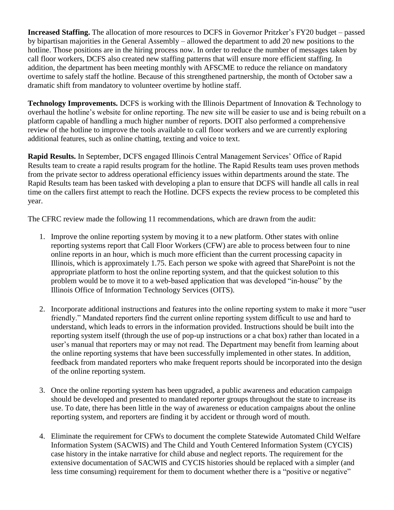**Increased Staffing.** The allocation of more resources to DCFS in Governor Pritzker's FY20 budget – passed by bipartisan majorities in the General Assembly – allowed the department to add 20 new positions to the hotline. Those positions are in the hiring process now. In order to reduce the number of messages taken by call floor workers, DCFS also created new staffing patterns that will ensure more efficient staffing. In addition, the department has been meeting monthly with AFSCME to reduce the reliance on mandatory overtime to safely staff the hotline. Because of this strengthened partnership, the month of October saw a dramatic shift from mandatory to volunteer overtime by hotline staff.

**Technology Improvements.** DCFS is working with the Illinois Department of Innovation & Technology to overhaul the hotline's website for online reporting. The new site will be easier to use and is being rebuilt on a platform capable of handling a much higher number of reports. DOIT also performed a comprehensive review of the hotline to improve the tools available to call floor workers and we are currently exploring additional features, such as online chatting, texting and voice to text.

**Rapid Results.** In September, DCFS engaged Illinois Central Management Services' Office of Rapid Results team to create a rapid results program for the hotline. The Rapid Results team uses proven methods from the private sector to address operational efficiency issues within departments around the state. The Rapid Results team has been tasked with developing a plan to ensure that DCFS will handle all calls in real time on the callers first attempt to reach the Hotline. DCFS expects the review process to be completed this year.

The CFRC review made the following 11 recommendations, which are drawn from the audit:

- 1. Improve the online reporting system by moving it to a new platform. Other states with online reporting systems report that Call Floor Workers (CFW) are able to process between four to nine online reports in an hour, which is much more efficient than the current processing capacity in Illinois, which is approximately 1.75. Each person we spoke with agreed that SharePoint is not the appropriate platform to host the online reporting system, and that the quickest solution to this problem would be to move it to a web-based application that was developed "in-house" by the Illinois Office of Information Technology Services (OITS).
- 2. Incorporate additional instructions and features into the online reporting system to make it more "user friendly." Mandated reporters find the current online reporting system difficult to use and hard to understand, which leads to errors in the information provided. Instructions should be built into the reporting system itself (through the use of pop-up instructions or a chat box) rather than located in a user's manual that reporters may or may not read. The Department may benefit from learning about the online reporting systems that have been successfully implemented in other states. In addition, feedback from mandated reporters who make frequent reports should be incorporated into the design of the online reporting system.
- 3. Once the online reporting system has been upgraded, a public awareness and education campaign should be developed and presented to mandated reporter groups throughout the state to increase its use. To date, there has been little in the way of awareness or education campaigns about the online reporting system, and reporters are finding it by accident or through word of mouth.
- 4. Eliminate the requirement for CFWs to document the complete Statewide Automated Child Welfare Information System (SACWIS) and The Child and Youth Centered Information System (CYCIS) case history in the intake narrative for child abuse and neglect reports. The requirement for the extensive documentation of SACWIS and CYCIS histories should be replaced with a simpler (and less time consuming) requirement for them to document whether there is a "positive or negative"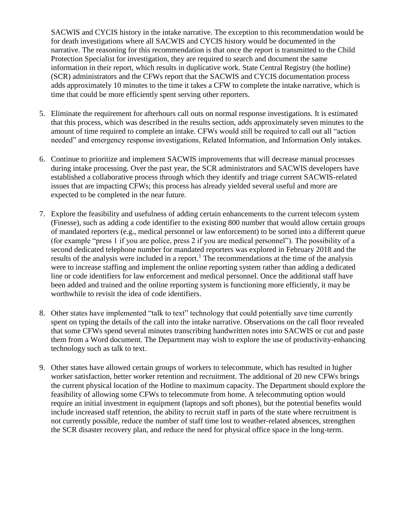SACWIS and CYCIS history in the intake narrative. The exception to this recommendation would be for death investigations where all SACWIS and CYCIS history would be documented in the narrative. The reasoning for this recommendation is that once the report is transmitted to the Child Protection Specialist for investigation, they are required to search and document the same information in their report, which results in duplicative work. State Central Registry (the hotline) (SCR) administrators and the CFWs report that the SACWIS and CYCIS documentation process adds approximately 10 minutes to the time it takes a CFW to complete the intake narrative, which is time that could be more efficiently spent serving other reporters.

- 5. Eliminate the requirement for afterhours call outs on normal response investigations. It is estimated that this process, which was described in the results section, adds approximately seven minutes to the amount of time required to complete an intake. CFWs would still be required to call out all "action needed" and emergency response investigations, Related Information, and Information Only intakes.
- 6. Continue to prioritize and implement SACWIS improvements that will decrease manual processes during intake processing. Over the past year, the SCR administrators and SACWIS developers have established a collaborative process through which they identify and triage current SACWIS-related issues that are impacting CFWs; this process has already yielded several useful and more are expected to be completed in the near future.
- 7. Explore the feasibility and usefulness of adding certain enhancements to the current telecom system (Finesse), such as adding a code identifier to the existing 800 number that would allow certain groups of mandated reporters (e.g., medical personnel or law enforcement) to be sorted into a different queue (for example "press 1 if you are police, press 2 if you are medical personnel"). The possibility of a second dedicated telephone number for mandated reporters was explored in February 2018 and the results of the analysis were included in a report.<sup>1</sup> The recommendations at the time of the analysis were to increase staffing and implement the online reporting system rather than adding a dedicated line or code identifiers for law enforcement and medical personnel. Once the additional staff have been added and trained and the online reporting system is functioning more efficiently, it may be worthwhile to revisit the idea of code identifiers.
- 8. Other states have implemented "talk to text" technology that could potentially save time currently spent on typing the details of the call into the intake narrative. Observations on the call floor revealed that some CFWs spend several minutes transcribing handwritten notes into SACWIS or cut and paste them from a Word document. The Department may wish to explore the use of productivity-enhancing technology such as talk to text.
- 9. Other states have allowed certain groups of workers to telecommute, which has resulted in higher worker satisfaction, better worker retention and recruitment. The additional of 20 new CFWs brings the current physical location of the Hotline to maximum capacity. The Department should explore the feasibility of allowing some CFWs to telecommute from home. A telecommuting option would require an initial investment in equipment (laptops and soft phones), but the potential benefits would include increased staff retention, the ability to recruit staff in parts of the state where recruitment is not currently possible, reduce the number of staff time lost to weather-related absences, strengthen the SCR disaster recovery plan, and reduce the need for physical office space in the long-term.